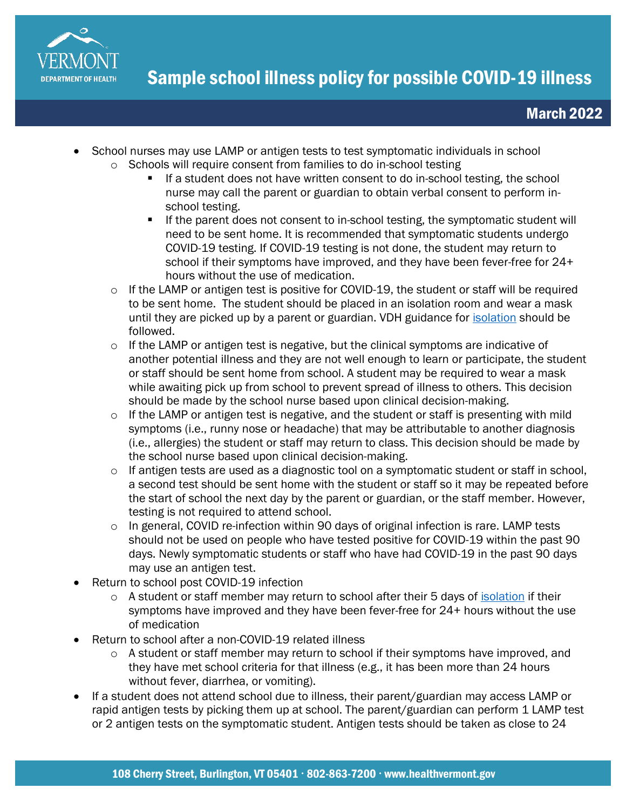

- School nurses may use LAMP or antigen tests to test symptomatic individuals in school
	- o Schools will require consent from families to do in-school testing
		- If a student does not have written consent to do in-school testing, the school nurse may call the parent or guardian to obtain verbal consent to perform inschool testing.
		- If the parent does not consent to in-school testing, the symptomatic student will need to be sent home. It is recommended that symptomatic students undergo COVID-19 testing. If COVID-19 testing is not done, the student may return to school if their symptoms have improved, and they have been fever-free for 24+ hours without the use of medication.
	- o If the LAMP or antigen test is positive for COVID-19, the student or staff will be required to be sent home. The student should be placed in an isolation room and wear a mask until they are picked up by a parent or guardian. VDH guidance for [isolation](https://www.healthvermont.gov/covid-19/symptoms-sickness/what-do-if-you-test-positive-covid-19) should be followed.
	- $\circ$  If the LAMP or antigen test is negative, but the clinical symptoms are indicative of another potential illness and they are not well enough to learn or participate, the student or staff should be sent home from school. A student may be required to wear a mask while awaiting pick up from school to prevent spread of illness to others. This decision should be made by the school nurse based upon clinical decision-making.
	- $\circ$  If the LAMP or antigen test is negative, and the student or staff is presenting with mild symptoms (i.e., runny nose or headache) that may be attributable to another diagnosis (i.e., allergies) the student or staff may return to class. This decision should be made by the school nurse based upon clinical decision-making.
	- o If antigen tests are used as a diagnostic tool on a symptomatic student or staff in school, a second test should be sent home with the student or staff so it may be repeated before the start of school the next day by the parent or guardian, or the staff member. However, testing is not required to attend school.
	- $\circ$  In general, COVID re-infection within 90 days of original infection is rare. LAMP tests should not be used on people who have tested positive for COVID-19 within the past 90 days. Newly symptomatic students or staff who have had COVID-19 in the past 90 days may use an antigen test.
- Return to school post COVID-19 infection
	- $\circ$  A student or staff member may return to school after their 5 days of [isolation](https://www.healthvermont.gov/covid-19/symptoms-sickness/what-do-if-you-test-positive-covid-19) if their symptoms have improved and they have been fever-free for 24+ hours without the use of medication
- Return to school after a non-COVID-19 related illness
	- $\circ$  A student or staff member may return to school if their symptoms have improved, and they have met school criteria for that illness (e.g., it has been more than 24 hours without fever, diarrhea, or vomiting).
- If a student does not attend school due to illness, their parent/guardian may access LAMP or rapid antigen tests by picking them up at school. The parent/guardian can perform 1 LAMP test or 2 antigen tests on the symptomatic student. Antigen tests should be taken as close to 24